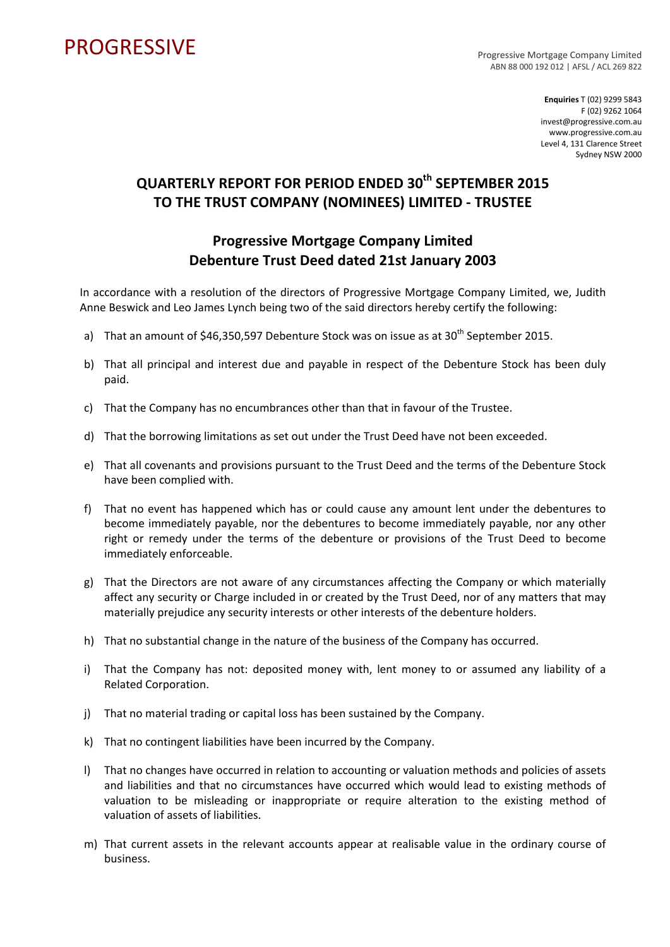## PROGRESSIVE PROGRESSIVE

ABN 88 000 192 012 | AFSL / ACL 269 822

**Enquiries** T (02) 9299 5843 F (02) 9262 1064 invest@progressive.com.au www.progressive.com.au Level 4, 131 Clarence Street Sydney NSW 2000

## **QUARTERLY REPORT FOR PERIOD ENDED 30th SEPTEMBER 2015 TO THE TRUST COMPANY (NOMINEES) LIMITED ‐ TRUSTEE**

## **Progressive Mortgage Company Limited Debenture Trust Deed dated 21st January 2003**

In accordance with a resolution of the directors of Progressive Mortgage Company Limited, we, Judith Anne Beswick and Leo James Lynch being two of the said directors hereby certify the following:

- a) That an amount of \$46,350,597 Debenture Stock was on issue as at  $30<sup>th</sup>$  September 2015.
- b) That all principal and interest due and payable in respect of the Debenture Stock has been duly paid.
- c) That the Company has no encumbrances other than that in favour of the Trustee.
- d) That the borrowing limitations as set out under the Trust Deed have not been exceeded.
- e) That all covenants and provisions pursuant to the Trust Deed and the terms of the Debenture Stock have been complied with.
- f) That no event has happened which has or could cause any amount lent under the debentures to become immediately payable, nor the debentures to become immediately payable, nor any other right or remedy under the terms of the debenture or provisions of the Trust Deed to become immediately enforceable.
- g) That the Directors are not aware of any circumstances affecting the Company or which materially affect any security or Charge included in or created by the Trust Deed, nor of any matters that may materially prejudice any security interests or other interests of the debenture holders.
- h) That no substantial change in the nature of the business of the Company has occurred.
- i) That the Company has not: deposited money with, lent money to or assumed any liability of a Related Corporation.
- j) That no material trading or capital loss has been sustained by the Company.
- k) That no contingent liabilities have been incurred by the Company.
- l) That no changes have occurred in relation to accounting or valuation methods and policies of assets and liabilities and that no circumstances have occurred which would lead to existing methods of valuation to be misleading or inappropriate or require alteration to the existing method of valuation of assets of liabilities.
- m) That current assets in the relevant accounts appear at realisable value in the ordinary course of business.